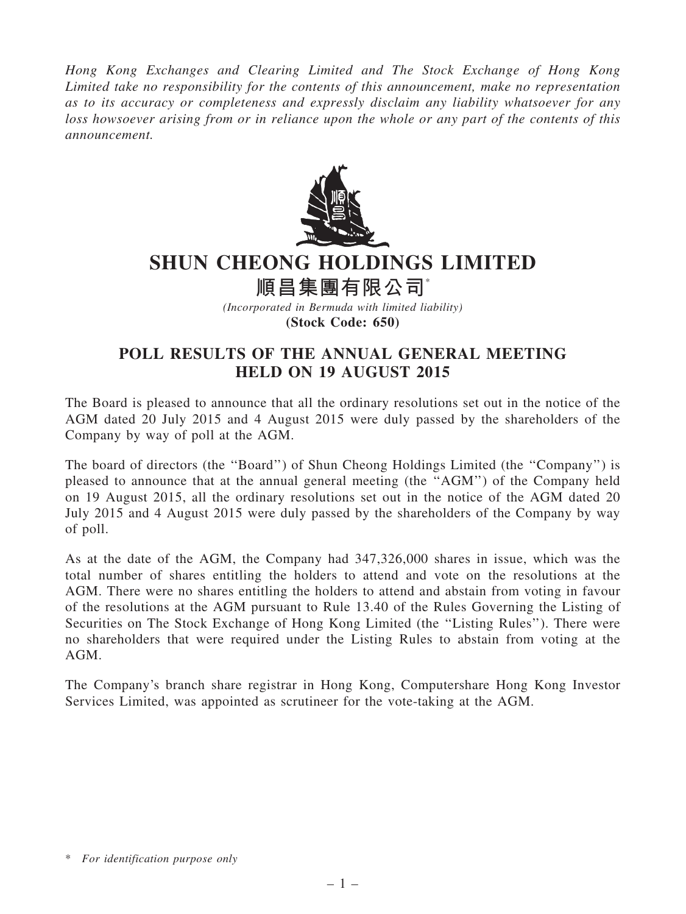Hong Kong Exchanges and Clearing Limited and The Stock Exchange of Hong Kong Limited take no responsibility for the contents of this announcement, make no representation as to its accuracy or completeness and expressly disclaim any liability whatsoever for any loss howsoever arising from or in reliance upon the whole or any part of the contents of this announcement.



## SHUN CHEONG HOLDINGS LIMITED

順昌集團有限公司\*

(Incorporated in Bermuda with limited liability) (Stock Code: 650)

## POLL RESULTS OF THE ANNUAL GENERAL MEETING HELD ON 19 AUGUST 2015

The Board is pleased to announce that all the ordinary resolutions set out in the notice of the AGM dated 20 July 2015 and 4 August 2015 were duly passed by the shareholders of the Company by way of poll at the AGM.

The board of directors (the ''Board'') of Shun Cheong Holdings Limited (the ''Company'') is pleased to announce that at the annual general meeting (the ''AGM'') of the Company held on 19 August 2015, all the ordinary resolutions set out in the notice of the AGM dated 20 July 2015 and 4 August 2015 were duly passed by the shareholders of the Company by way of poll.

As at the date of the AGM, the Company had 347,326,000 shares in issue, which was the total number of shares entitling the holders to attend and vote on the resolutions at the AGM. There were no shares entitling the holders to attend and abstain from voting in favour of the resolutions at the AGM pursuant to Rule 13.40 of the Rules Governing the Listing of Securities on The Stock Exchange of Hong Kong Limited (the ''Listing Rules''). There were no shareholders that were required under the Listing Rules to abstain from voting at the AGM.

The Company's branch share registrar in Hong Kong, Computershare Hong Kong Investor Services Limited, was appointed as scrutineer for the vote-taking at the AGM.

<sup>\*</sup> For identification purpose only